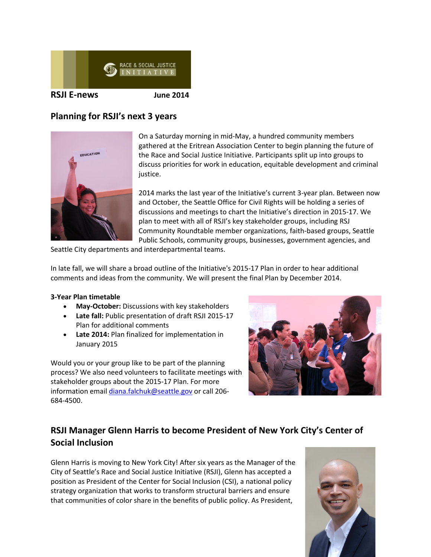

# **Planning for RSJI's next 3 years**



On a Saturday morning in mid-May, a hundred community members gathered at the Eritrean Association Center to begin planning the future of the Race and Social Justice Initiative. Participants split up into groups to discuss priorities for work in education, equitable development and criminal justice.

2014 marks the last year of the Initiative's current 3-year plan. Between now and October, the Seattle Office for Civil Rights will be holding a series of discussions and meetings to chart the Initiative's direction in 2015-17. We plan to meet with all of RSJI's key stakeholder groups, including RSJ Community Roundtable member organizations, faith-based groups, Seattle Public Schools, community groups, businesses, government agencies, and

Seattle City departments and interdepartmental teams.

In late fall, we will share a broad outline of the Initiative's 2015-17 Plan in order to hear additional comments and ideas from the community. We will present the final Plan by December 2014.

### **3-Year Plan timetable**

- **May-October:** Discussions with key stakeholders
- **Late fall:** Public presentation of draft RSJI 2015-17 Plan for additional comments
- **Late 2014:** Plan finalized for implementation in January 2015

Would you or your group like to be part of the planning process? We also need volunteers to facilitate meetings with stakeholder groups about the 2015-17 Plan. For more information emai[l diana.falchuk@seattle.gov](mailto:diana.falchuk@seattle.gov) or call 206-684-4500.



# **RSJI Manager Glenn Harris to become President of New York City's Center of Social Inclusion**

Glenn Harris is moving to New York City! After six years as the Manager of the City of Seattle's Race and Social Justice Initiative (RSJI), Glenn has accepted a position as President of the Center for Social Inclusion (CSI), a national policy strategy organization that works to transform structural barriers and ensure that communities of color share in the benefits of public policy. As President,

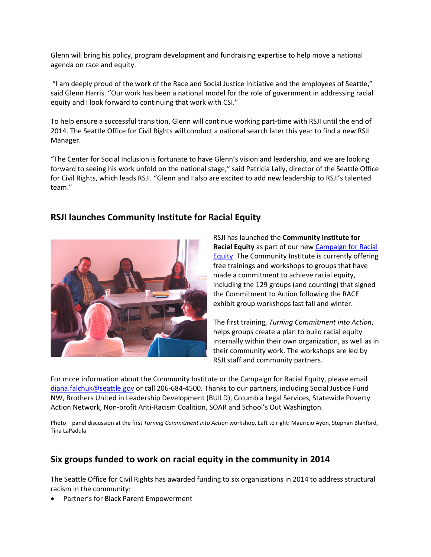Glenn will bring his policy, program development and fundraising expertise to help move a national agenda on race and equity.

"I am deeply proud of the work of the Race and Social Justice Initiative and the employees of Seattle," said Glenn Harris. "Our work has been a national model for the role of government in addressing racial equity and I look forward to continuing that work with CSI."

To help ensure a successful transition, Glenn will continue working part-time with RSJI until the end of 2014. The Seattle Office for Civil Rights will conduct a national search later this year to find a new RSJI Manager.

"The Center for Social Inclusion is fortunate to have Glenn's vision and leadership, and we are looking forward to seeing his work unfold on the national stage," said Patricia Lally, director of the Seattle Office for Civil Rights, which leads RSJI. "Glenn and I also are excited to add new leadership to RSJI's talented team."

# **RSJI launches Community Institute for Racial Equity**



RSJI has launched the **Community Institute for Racial Equity** as part of our new [Campaign for Racial](http://www.seattle.gov/rsji/campaign-for-racial-equity)  [Equity.](http://www.seattle.gov/rsji/campaign-for-racial-equity) The Community Institute is currently offering free trainings and workshops to groups that have made a commitment to achieve racial equity, including the 129 groups (and counting) that signed the Commitment to Action following the RACE exhibit group workshops last fall and winter.

The first training, *Turning Commitment into Action*, helps groups create a plan to build racial equity internally within their own organization, as well as in their community work. The workshops are led by RSJI staff and community partners.

For more information about the Community Institute or the Campaign for Racial Equity, please email [diana.falchuk@seattle.gov](mailto:diana.falchuk@seattle.gov) or call 206-684-4500. Thanks to our partners, including Social Justice Fund NW, Brothers United in Leadership Development (BUILD), Columbia Legal Services, Statewide Poverty Action Network, Non-profit Anti-Racism Coalition, SOAR and School's Out Washington.

Photo – panel discussion at the first *Turning Commitment into Action* workshop. Left to right: Mauricio Ayon, Stephan Blanford, Tina LaPadula

# **Six groups funded to work on racial equity in the community in 2014**

The Seattle Office for Civil Rights has awarded funding to six organizations in 2014 to address structural racism in the community:

• Partner's for Black Parent Empowerment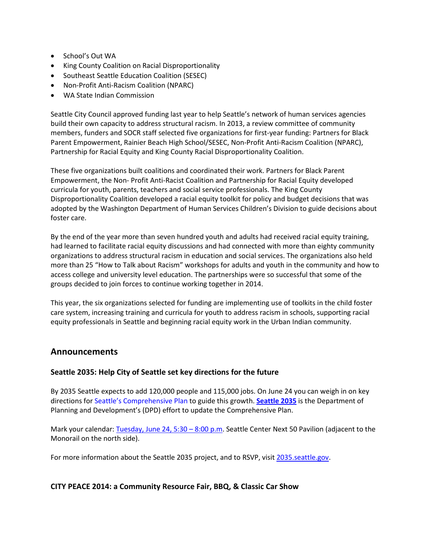- School's Out WA
- King County Coalition on Racial Disproportionality
- Southeast Seattle Education Coalition (SESEC)
- Non-Profit Anti-Racism Coalition (NPARC)
- WA State Indian Commission

Seattle City Council approved funding last year to help Seattle's network of human services agencies build their own capacity to address structural racism. In 2013, a review committee of community members, funders and SOCR staff selected five organizations for first-year funding: Partners for Black Parent Empowerment, Rainier Beach High School/SESEC, Non-Profit Anti-Racism Coalition (NPARC), Partnership for Racial Equity and King County Racial Disproportionality Coalition.

These five organizations built coalitions and coordinated their work. Partners for Black Parent Empowerment, the Non- Profit Anti-Racist Coalition and Partnership for Racial Equity developed curricula for youth, parents, teachers and social service professionals. The King County Disproportionality Coalition developed a racial equity toolkit for policy and budget decisions that was adopted by the Washington Department of Human Services Children's Division to guide decisions about foster care.

By the end of the year more than seven hundred youth and adults had received racial equity training, had learned to facilitate racial equity discussions and had connected with more than eighty community organizations to address structural racism in education and social services. The organizations also held more than 25 "How to Talk about Racism" workshops for adults and youth in the community and how to access college and university level education. The partnerships were so successful that some of the groups decided to join forces to continue working together in 2014.

This year, the six organizations selected for funding are implementing use of toolkits in the child foster care system, increasing training and curricula for youth to address racism in schools, supporting racial equity professionals in Seattle and beginning racial equity work in the Urban Indian community.

## **Announcements**

### **Seattle 2035: Help City of Seattle set key directions for the future**

By 2035 Seattle expects to add 120,000 people and 115,000 jobs. On June 24 you can weigh in on key directions for [Seattle's Comprehensive Plan](http://seattle.gov/dpd/cityplanning/completeprojectslist/comprehensiveplan/whatwhy/default.htm) to guide this growth. **[Seattle 2035](http://2035.seattle.gov/calendar/?trumbaEmbed=eventid%3D110337161%26view%3Devent%26-childview%3D)** is the Department of Planning and Development's (DPD) effort to update the Comprehensive Plan.

Mark your calendar: [Tuesday, June 24, 5:30 –](http://2035.seattle.gov/calendar/?trumbaEmbed=eventid%3D110337161%26view%3Devent%26-childview%3D) 8:00 p.m. Seattle Center Next 50 Pavilion (adjacent to the Monorail on the north side).

For more information about the Seattle 2035 project, and to RSVP, visit [2035.seattle.gov.](http://2035.seattle.gov/)

### **CITY PEACE 2014: a Community Resource Fair, BBQ, & Classic Car Show**